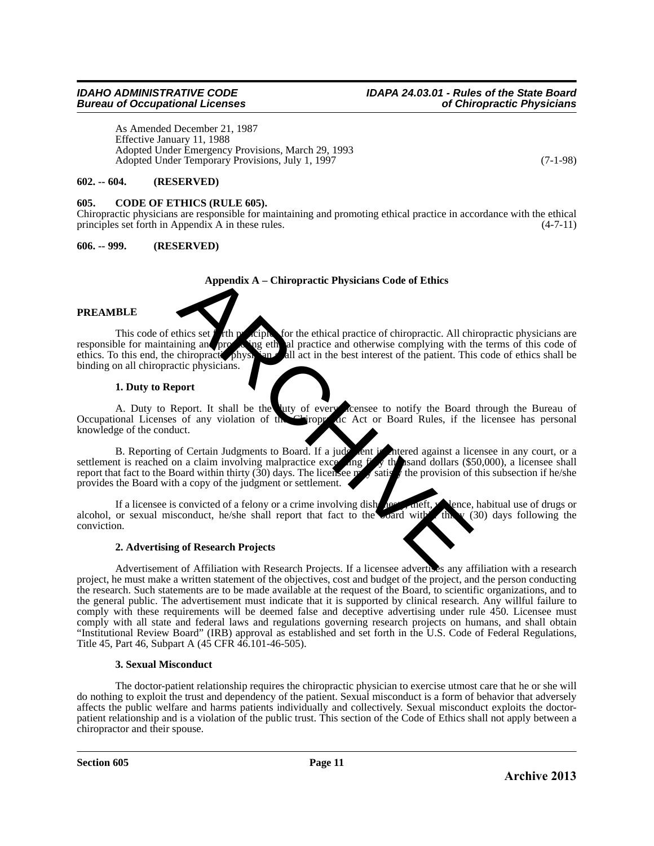# *Bureau of Occupational Licenses*

As Amended December 21, 1987 Effective January 11, 1988 Adopted Under Emergency Provisions, March 29, 1993 Adopted Under Temporary Provisions, July 1, 1997 (7-1-98)

# **602. -- 604. (RESERVED)**

## **605. CODE OF ETHICS (RULE 605).**

Chiropractic physicians are responsible for maintaining and promoting ethical practice in accordance with the ethical principles set forth in Appendix A in these rules. (4-7-11)

# **606. -- 999. (RESERVED)**

## **Appendix A – Chiropractic Physicians Code of Ethics**

## **PREAMBLE**

This code of ethics set for the principles for the ethical practice of chiropractic. All chiropractic physicians are responsible for maintaining and prope is all practice and otherwise complying with the terms of this code responsible for maintaining and promotion of the promotion all act in the best interest of the patient. This code of ethics shall be estimated by the terms of this code of ethics shall be all act in the best interest of the patient. This code of ethics shall be binding on all chiropractic physicians.

## **1. Duty to Report**

A. Duty to Report. It shall be the duty of every licensee to notify the Board through the Bureau of Occupational Licenses of any violation of the Copy of Act or Board Rules, if the licensee has personal ropy are Act or Board Rules, if the licensee has personal knowledge of the conduct.

B. Reporting of Certain Judgments to Board. If a judge entered against a licensee in any court, or a net is reached on a claim involving malpractice excessions of the sand dollars (\$50,000), a licensee shall settlement is reached on a claim involving malpractice exceeding fifty the sand dollars (\$50,000), a licensee shall report that fact to the Board within thirty (30) days. The licensee provision of this subsection if he/sh report that fact to the Board within thirty  $(30)$  days. The licensee m provides the Board with a copy of the judgment or settlement.

If a licensee is convicted of a felony or a crime involving dishonesty, theft, vience, habitual use of drugs or or sexual misconduct, he/she shall report that fact to the coard with this (30) days following the alcohol, or sexual misconduct, he/she shall report that fact to the board with conviction.

## **2. Advertising of Research Projects**

Advertisement of Affiliation with Research Projects. If a licensee advertises any affiliation with a research project, he must make a written statement of the objectives, cost and budget of the project, and the person conducting the research. Such statements are to be made available at the request of the Board, to scientific organizations, and to the general public. The advertisement must indicate that it is supported by clinical research. Any willful failure to comply with these requirements will be deemed false and deceptive advertising under rule 450. Licensee must comply with all state and federal laws and regulations governing research projects on humans, and shall obtain "Institutional Review Board" (IRB) approval as established and set forth in the U.S. Code of Federal Regulations, Title 45, Part 46, Subpart A (45 CFR 46.101-46-505). **Appendix A - Chiropractic Physicians Code of Ethics**<br> **Archives set that the static and practice of chiropractic.** All chiropractic physicians are<br>
disponsible 2013<br> **Archives 2013** And not the best interest of the patien

## **3. Sexual Misconduct**

The doctor-patient relationship requires the chiropractic physician to exercise utmost care that he or she will do nothing to exploit the trust and dependency of the patient. Sexual misconduct is a form of behavior that adversely affects the public welfare and harms patients individually and collectively. Sexual misconduct exploits the doctorpatient relationship and is a violation of the public trust. This section of the Code of Ethics shall not apply between a chiropractor and their spouse.